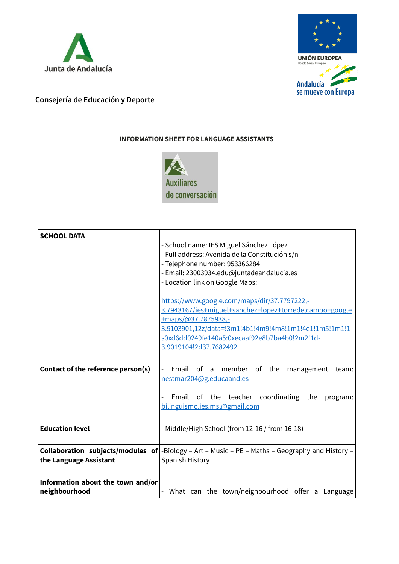



## **Consejería de Educación y Deporte**

## **INFORMATION SHEET FOR LANGUAGE ASSISTANTS**



| <b>SCHOOL DATA</b>                                 |                                                                                                                                                                                                                                                  |
|----------------------------------------------------|--------------------------------------------------------------------------------------------------------------------------------------------------------------------------------------------------------------------------------------------------|
|                                                    | - School name: IES Miguel Sánchez López                                                                                                                                                                                                          |
|                                                    | - Full address: Avenida de la Constitución s/n                                                                                                                                                                                                   |
|                                                    | - Telephone number: 953366284                                                                                                                                                                                                                    |
|                                                    | - Email: 23003934.edu@juntadeandalucia.es                                                                                                                                                                                                        |
|                                                    | - Location link on Google Maps:                                                                                                                                                                                                                  |
|                                                    | https://www.google.com/maps/dir/37.7797222,-<br>3.7943167/ies+miguel+sanchez+lopez+torredelcampo+google<br>$+maps/\omega$ 37.7875938,-<br>3.9103901,12z/data=!3m1!4b1!4m9!4m8!1m1!4e1!1m5!1m1!1<br>s0xd6dd0249fe140a5:0xecaaf92e8b7ba4b0!2m2!1d- |
|                                                    | 3.9019104!2d37.7682492                                                                                                                                                                                                                           |
|                                                    |                                                                                                                                                                                                                                                  |
| Contact of the reference person(s)                 | Email of a member of the management<br>team:<br>nestmar204@g.educaand.es                                                                                                                                                                         |
|                                                    | Email of the teacher coordinating the<br>program:<br>bilinguismo.ies.msl@gmail.com                                                                                                                                                               |
| <b>Education level</b>                             | - Middle/High School (from 12-16 / from 16-18)                                                                                                                                                                                                   |
| the Language Assistant                             | <b>Collaboration subjects/modules of</b> $ \text{-Biology - Art - Music - PE - Maths - Geography and History -$<br>Spanish History                                                                                                               |
| Information about the town and/or<br>neighbourhood | What can the town/neighbourhood offer a Language                                                                                                                                                                                                 |